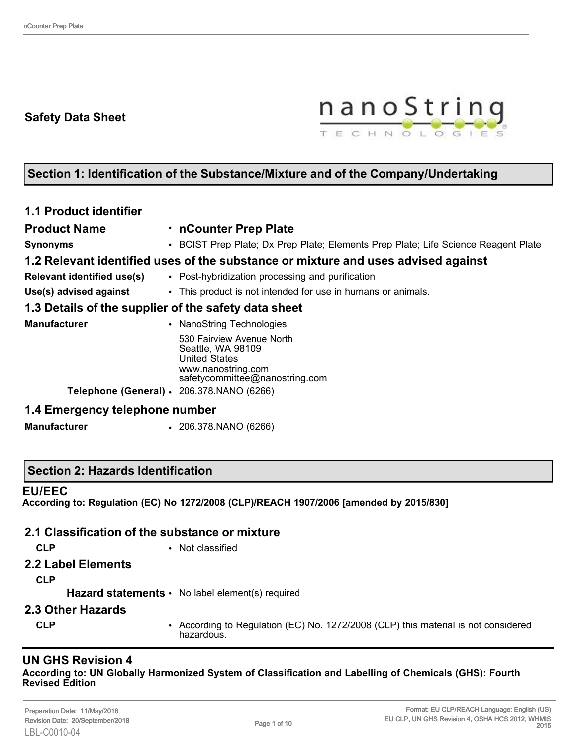## **Safety Data Sheet**



## **Section 1: Identification of the Substance/Mixture and of the Company/Undertaking**

| <b>1.1 Product identifier</b>                        |                                                                                                                                |
|------------------------------------------------------|--------------------------------------------------------------------------------------------------------------------------------|
| <b>Product Name</b>                                  | • nCounter Prep Plate                                                                                                          |
| <b>Synonyms</b>                                      | • BCIST Prep Plate; Dx Prep Plate; Elements Prep Plate; Life Science Reagent Plate                                             |
|                                                      | 1.2 Relevant identified uses of the substance or mixture and uses advised against                                              |
| <b>Relevant identified use(s)</b>                    | • Post-hybridization processing and purification                                                                               |
| Use(s) advised against                               | • This product is not intended for use in humans or animals.                                                                   |
| 1.3 Details of the supplier of the safety data sheet |                                                                                                                                |
| <b>Manufacturer</b>                                  | • NanoString Technologies                                                                                                      |
|                                                      | 530 Fairview Avenue North<br>Seattle, WA 98109<br><b>United States</b><br>www.nanostring.com<br>safetycommittee@nanostring.com |
| Telephone (General) · 206.378.NANO (6266)            |                                                                                                                                |
| 1.4 Emergency telephone number                       |                                                                                                                                |
| <b>Manufacturer</b>                                  | $\,$ 206.378.NANO (6266)                                                                                                       |

#### **Section 2: Hazards Identification**

#### **EU/EEC**

**According to: Regulation (EC) No 1272/2008 (CLP)/REACH 1907/2006 [amended by 2015/830]**

#### **2.1 Classification of the substance or mixture**

- 
- **CLP** Not classified
- **2.2 Label Elements**
	- **CLP**

Hazard statements • No label element(s) required

- **2.3 Other Hazards**
	-
	- **CLP** According to Regulation (EC) No. 1272/2008 (CLP) this material is not considered hazardous.

## **UN GHS Revision 4**

**According to: UN Globally Harmonized System of Classification and Labelling of Chemicals (GHS): Fourth Revised Edition**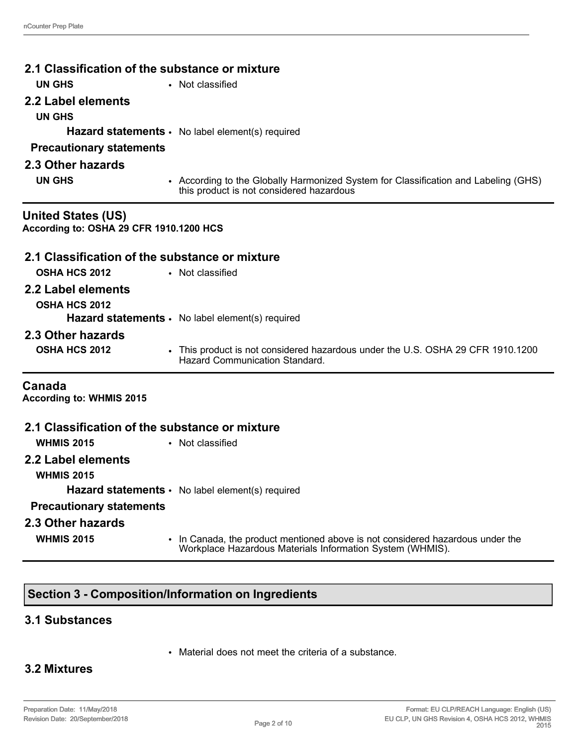| 2.1 Classification of the substance or mixture |                                                                                                                                             |  |  |  |  |
|------------------------------------------------|---------------------------------------------------------------------------------------------------------------------------------------------|--|--|--|--|
|                                                |                                                                                                                                             |  |  |  |  |
| <b>UN GHS</b>                                  | • Not classified                                                                                                                            |  |  |  |  |
| 2.2 Label elements                             |                                                                                                                                             |  |  |  |  |
| <b>UN GHS</b>                                  |                                                                                                                                             |  |  |  |  |
|                                                | Hazard statements · No label element(s) required                                                                                            |  |  |  |  |
| <b>Precautionary statements</b>                |                                                                                                                                             |  |  |  |  |
| 2.3 Other hazards                              |                                                                                                                                             |  |  |  |  |
| <b>UN GHS</b>                                  | • According to the Globally Harmonized System for Classification and Labeling (GHS)<br>this product is not considered hazardous             |  |  |  |  |
| <b>United States (US)</b>                      |                                                                                                                                             |  |  |  |  |
| According to: OSHA 29 CFR 1910.1200 HCS        |                                                                                                                                             |  |  |  |  |
| 2.1 Classification of the substance or mixture |                                                                                                                                             |  |  |  |  |
| <b>OSHA HCS 2012</b>                           | • Not classified                                                                                                                            |  |  |  |  |
| 2.2 Label elements                             |                                                                                                                                             |  |  |  |  |
| <b>OSHA HCS 2012</b>                           |                                                                                                                                             |  |  |  |  |
|                                                | Hazard statements · No label element(s) required                                                                                            |  |  |  |  |
| 2.3 Other hazards                              |                                                                                                                                             |  |  |  |  |
| OSHA HCS 2012                                  | • This product is not considered hazardous under the U.S. OSHA 29 CFR 1910.1200<br>Hazard Communication Standard.                           |  |  |  |  |
| Canada<br><b>According to: WHMIS 2015</b>      |                                                                                                                                             |  |  |  |  |
|                                                |                                                                                                                                             |  |  |  |  |
| 2.1 Classification of the substance or mixture |                                                                                                                                             |  |  |  |  |
| <b>WHMIS 2015</b>                              | • Not classified                                                                                                                            |  |  |  |  |
| 2.2 Label elements<br><b>WHMIS 2015</b>        |                                                                                                                                             |  |  |  |  |
|                                                | <b>Hazard statements •</b> No label element(s) required                                                                                     |  |  |  |  |
|                                                |                                                                                                                                             |  |  |  |  |
| <b>Precautionary statements</b>                |                                                                                                                                             |  |  |  |  |
| 2.3 Other hazards                              |                                                                                                                                             |  |  |  |  |
| <b>WHMIS 2015</b>                              | • In Canada, the product mentioned above is not considered hazardous under the<br>Workplace Hazardous Materials Information System (WHMIS). |  |  |  |  |

# **Section 3 - Composition/Information on Ingredients**

## **3.1 Substances**

• Material does not meet the criteria of a substance.

## **3.2 Mixtures**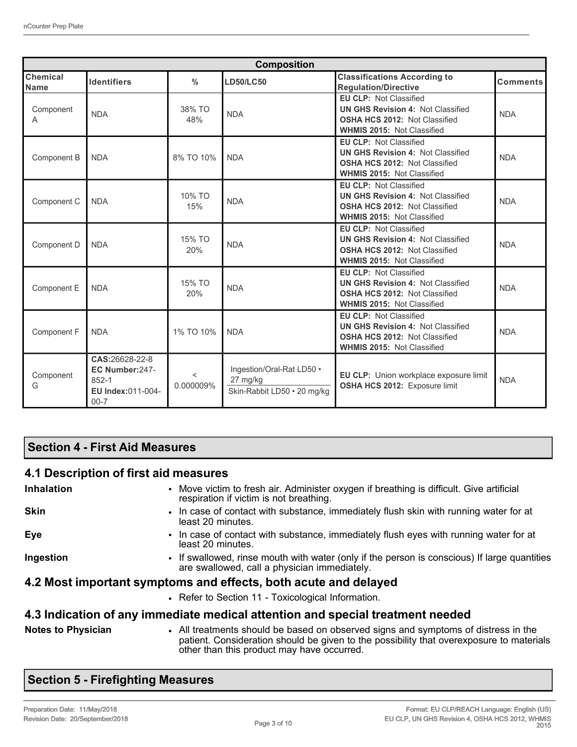| <b>Composition</b>      |                                                                            |                    |                                                                      |                                                                                                                                                        |                 |  |
|-------------------------|----------------------------------------------------------------------------|--------------------|----------------------------------------------------------------------|--------------------------------------------------------------------------------------------------------------------------------------------------------|-----------------|--|
| Chemical<br><b>Name</b> | <b>Identifiers</b>                                                         | $\%$               | <b>LD50/LC50</b>                                                     | <b>Classifications According to</b><br><b>Regulation/Directive</b>                                                                                     | <b>Comments</b> |  |
| Component<br>A          | <b>NDA</b>                                                                 | 38% TO<br>48%      | <b>NDA</b>                                                           | <b>EU CLP: Not Classified</b><br><b>UN GHS Revision 4: Not Classified</b><br>OSHA HCS 2012: Not Classified<br><b>WHMIS 2015: Not Classified</b>        | <b>NDA</b>      |  |
| Component B             | <b>NDA</b>                                                                 | 8% TO 10%          | <b>NDA</b>                                                           | <b>EU CLP: Not Classified</b><br><b>UN GHS Revision 4: Not Classified</b><br><b>OSHA HCS 2012: Not Classified</b><br><b>WHMIS 2015: Not Classified</b> | <b>NDA</b>      |  |
| Component C             | <b>NDA</b>                                                                 | 10% TO<br>15%      | <b>NDA</b>                                                           | <b>EU CLP: Not Classified</b><br><b>UN GHS Revision 4: Not Classified</b><br><b>OSHA HCS 2012: Not Classified</b><br><b>WHMIS 2015: Not Classified</b> | <b>NDA</b>      |  |
| Component D             | <b>NDA</b>                                                                 | 15% TO<br>20%      | <b>NDA</b>                                                           | <b>EU CLP: Not Classified</b><br><b>UN GHS Revision 4: Not Classified</b><br><b>OSHA HCS 2012: Not Classified</b><br><b>WHMIS 2015: Not Classified</b> | <b>NDA</b>      |  |
| Component E             | <b>NDA</b>                                                                 | 15% TO<br>20%      | <b>NDA</b>                                                           | <b>EU CLP: Not Classified</b><br><b>UN GHS Revision 4: Not Classified</b><br><b>OSHA HCS 2012: Not Classified</b><br><b>WHMIS 2015: Not Classified</b> | <b>NDA</b>      |  |
| Component F             | <b>NDA</b>                                                                 | 1% TO 10%          | <b>NDA</b>                                                           | <b>EU CLP: Not Classified</b><br><b>UN GHS Revision 4: Not Classified</b><br><b>OSHA HCS 2012: Not Classified</b><br><b>WHMIS 2015: Not Classified</b> | <b>NDA</b>      |  |
| Component<br>G          | CAS:26628-22-8<br>EC Number:247-<br>852-1<br>EU Index:011-004-<br>$00 - 7$ | $\lt$<br>0.000009% | Ingestion/Oral-Rat LD50 .<br>27 mg/kg<br>Skin-Rabbit LD50 · 20 mg/kg | EU CLP: Union workplace exposure limit<br>OSHA HCS 2012: Exposure limit                                                                                | <b>NDA</b>      |  |

## **Section 4 - First Aid Measures**

## **4.1 Description of first aid measures**

| <b>Inhalation</b>         | • Move victim to fresh air. Administer oxygen if breathing is difficult. Give artificial<br>respiration if victim is not breathing.                                            |
|---------------------------|--------------------------------------------------------------------------------------------------------------------------------------------------------------------------------|
| <b>Skin</b>               | . In case of contact with substance, immediately flush skin with running water for at<br>least 20 minutes.                                                                     |
| Eye                       | • In case of contact with substance, immediately flush eyes with running water for at<br>least 20 minutes.                                                                     |
| Ingestion                 | • If swallowed, rinse mouth with water (only if the person is conscious) If large quantities<br>are swallowed, call a physician immediately.                                   |
|                           | 4.2 Most important symptoms and effects, both acute and delayed                                                                                                                |
|                           | • Refer to Section 11 - Toxicological Information.                                                                                                                             |
|                           | 4.3 Indication of any immediate medical attention and special treatment needed                                                                                                 |
| <b>Notes to Physician</b> | • All treatments should be based on observed signs and symptoms of distress in the<br>patient. Consideration should be given to the possibility that overexposure to materials |

## **Section 5 - Firefighting Measures**

other than this product may have occurred.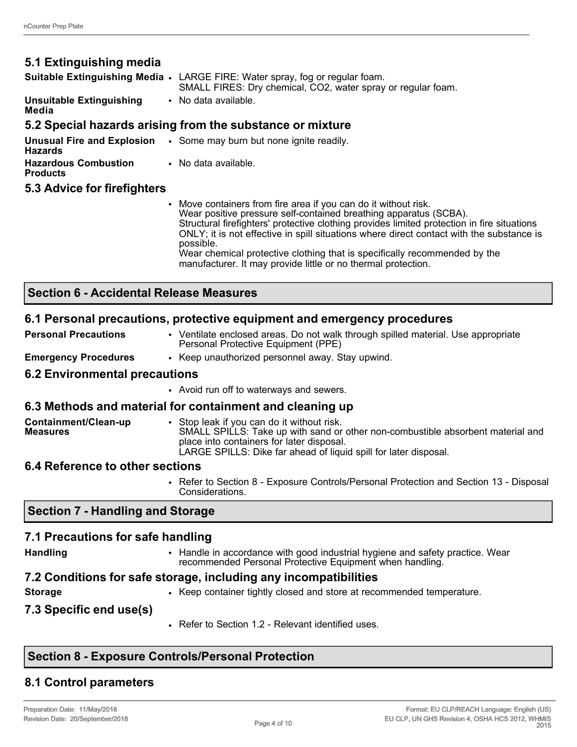**Media**

## **5.1 Extinguishing media**

**Suitable Extinguishing Media** • LARGE FIRE: Water spray, fog or regular foam. SMALL FIRES: Dry chemical, CO2, water spray or regular foam. **Unsuitable Extinguishing**  • No data available.

#### **5.2 Special hazards arising from the substance or mixture**

| <b>Hazards</b>                                 | <b>Unusual Fire and Explosion</b> . Some may burn but none ignite readily. |
|------------------------------------------------|----------------------------------------------------------------------------|
| <b>Hazardous Combustion</b><br><b>Products</b> | • No data available.                                                       |

#### **5.3 Advice for firefighters**

• Move containers from fire area if you can do it without risk. Wear positive pressure self-contained breathing apparatus (SCBA). Structural firefighters' protective clothing provides limited protection in fire situations ONLY; it is not effective in spill situations where direct contact with the substance is possible. Wear chemical protective clothing that is specifically recommended by the manufacturer. It may provide little or no thermal protection.

#### **Section 6 - Accidental Release Measures**

#### **6.1 Personal precautions, protective equipment and emergency procedures**

| <b>Personal Precautions</b> | • Ventilate enclosed areas. Do not walk through spilled material. Use appropriate<br>Personal Protective Equipment (PPE) |
|-----------------------------|--------------------------------------------------------------------------------------------------------------------------|
|                             |                                                                                                                          |

**Emergency Procedures** • Keep unauthorized personnel away. Stay upwind.

#### **6.2 Environmental precautions**

• Avoid run off to waterways and sewers.

## **6.3 Methods and material for containment and cleaning up**

| Containment/Clean-up | Stop leak if you can do it without risk.                                        |
|----------------------|---------------------------------------------------------------------------------|
| <b>Measures</b>      | SMALL SPILLS: Take up with sand or other non-combustible absorbent material and |
|                      | place into containers for later disposal.                                       |
|                      | LARGE SPILLS: Dike far ahead of liquid spill for later disposal.                |

## **6.4 Reference to other sections**

• Refer to Section 8 - Exposure Controls/Personal Protection and Section 13 - Disposal Considerations.

## **Section 7 - Handling and Storage**

## **7.1 Precautions for safe handling**

| <b>Handling</b><br>• Handle in accordance with good industrial hygiene and safety practice. Wear<br>recommended Personal Protective Equipment when handling. |  |
|--------------------------------------------------------------------------------------------------------------------------------------------------------------|--|
|--------------------------------------------------------------------------------------------------------------------------------------------------------------|--|

## **7.2 Conditions for safe storage, including any incompatibilities**

- 
- **Storage •** Keep container tightly closed and store at recommended temperature.
- **7.3 Specific end use(s)**
- Refer to Section 1.2 Relevant identified uses.

## **Section 8 - Exposure Controls/Personal Protection**

## **8.1 Control parameters**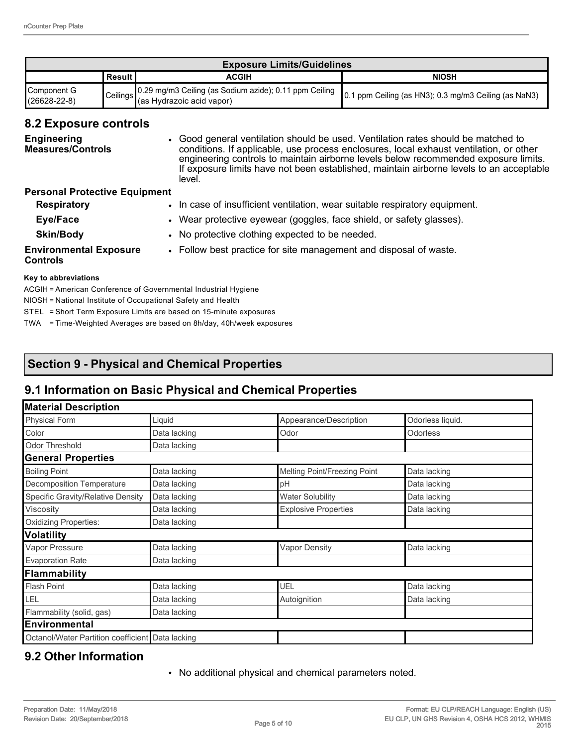| <b>Exposure Limits/Guidelines</b> |               |                                                                                                                       |              |  |
|-----------------------------------|---------------|-----------------------------------------------------------------------------------------------------------------------|--------------|--|
|                                   | <b>Result</b> | ACGIH                                                                                                                 | <b>NIOSH</b> |  |
| Component G<br>$(26628-22-8)$     |               | Ceilings 0.29 mg/m3 Ceiling (as Sodium azide); 0.11 ppm Ceiling 0.1 ppm Ceiling (as HN3); 0.3 mg/m3 Ceiling (as NaN3) |              |  |

#### **8.2 Exposure controls**

| <b>Engineering</b><br><b>Measures/Controls</b> | • Good general ventilation should be used. Ventilation rates should be matched to<br>conditions. If applicable, use process enclosures, local exhaust ventilation, or other<br>engineering controls to maintain airborne levels below recommended exposure limits.<br>If exposure limits have not been established, maintain airborne levels to an acceptable<br>level. |
|------------------------------------------------|-------------------------------------------------------------------------------------------------------------------------------------------------------------------------------------------------------------------------------------------------------------------------------------------------------------------------------------------------------------------------|
| <b>Personal Protective Equipment</b>           |                                                                                                                                                                                                                                                                                                                                                                         |
| <b>Respiratory</b>                             | • In case of insufficient ventilation, wear suitable respiratory equipment.                                                                                                                                                                                                                                                                                             |

| Eye/Face         | Wear protective eyewear (goggles, face shield, or safety glasses). |  |
|------------------|--------------------------------------------------------------------|--|
| <b>Skin/Body</b> | • No protective clothing expected to be needed.                    |  |

**Environmental Exposure Controls**

• Follow best practice for site management and disposal of waste.

#### **Key to abbreviations**

ACGIH = American Conference of Governmental Industrial Hygiene

NIOSH = National Institute of Occupational Safety and Health

STEL = Short Term Exposure Limits are based on 15-minute exposures

TWA = Time-Weighted Averages are based on 8h/day, 40h/week exposures

## **Section 9 - Physical and Chemical Properties**

## **9.1 Information on Basic Physical and Chemical Properties**

| <b>Material Description</b>                      |              |                              |                  |  |  |
|--------------------------------------------------|--------------|------------------------------|------------------|--|--|
| <b>Physical Form</b>                             | Liquid       | Appearance/Description       | Odorless liquid. |  |  |
| Color                                            | Data lacking | Odor                         | Odorless         |  |  |
| <b>Odor Threshold</b>                            | Data lacking |                              |                  |  |  |
| <b>General Properties</b>                        |              |                              |                  |  |  |
| <b>Boiling Point</b>                             | Data lacking | Melting Point/Freezing Point | Data lacking     |  |  |
| Decomposition Temperature                        | Data lacking | pH                           | Data lacking     |  |  |
| Specific Gravity/Relative Density                | Data lacking | <b>Water Solubility</b>      | Data lacking     |  |  |
| Viscosity                                        | Data lacking | <b>Explosive Properties</b>  | Data lacking     |  |  |
| Oxidizing Properties:                            | Data lacking |                              |                  |  |  |
| <b>Volatility</b>                                |              |                              |                  |  |  |
| Vapor Pressure                                   | Data lacking | <b>Vapor Density</b>         | Data lacking     |  |  |
| <b>Evaporation Rate</b>                          | Data lacking |                              |                  |  |  |
| Flammability                                     |              |                              |                  |  |  |
| <b>Flash Point</b>                               | Data lacking | UEL                          | Data lacking     |  |  |
| LEL                                              | Data lacking | Autoignition                 | Data lacking     |  |  |
| Flammability (solid, gas)                        | Data lacking |                              |                  |  |  |
| <b>Environmental</b>                             |              |                              |                  |  |  |
| Octanol/Water Partition coefficient Data lacking |              |                              |                  |  |  |

## **9.2 Other Information**

• No additional physical and chemical parameters noted.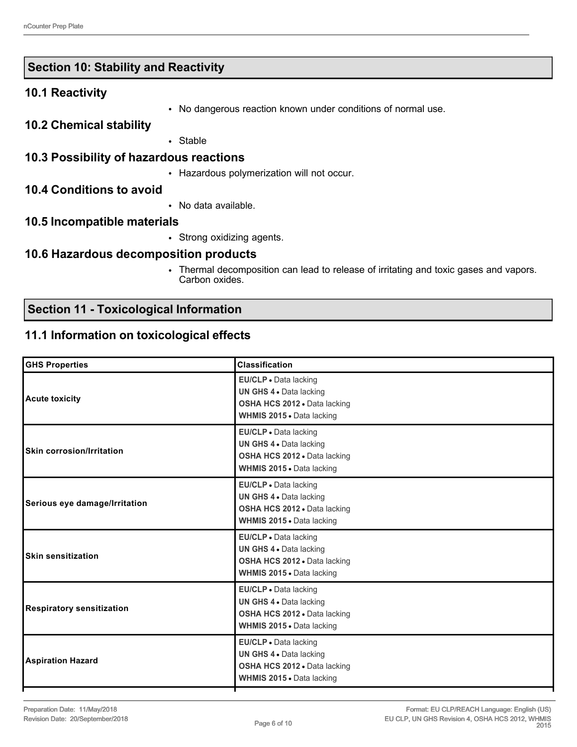|  |  |  |  | Section 10: Stability and Reactivity |
|--|--|--|--|--------------------------------------|
|--|--|--|--|--------------------------------------|

#### **10.1 Reactivity**

• No dangerous reaction known under conditions of normal use.

#### **10.2 Chemical stability**

• Stable

#### **10.3 Possibility of hazardous reactions**

• Hazardous polymerization will not occur.

#### **10.4 Conditions to avoid**

• No data available.

#### **10.5 Incompatible materials**

• Strong oxidizing agents.

#### **10.6 Hazardous decomposition products**

• Thermal decomposition can lead to release of irritating and toxic gases and vapors. Carbon oxides.

## **Section 11 - Toxicological Information**

#### **11.1 Information on toxicological effects**

| <b>Classification</b>                                                                                                |
|----------------------------------------------------------------------------------------------------------------------|
| EU/CLP · Data lacking<br>UN GHS 4 . Data lacking<br>OSHA HCS 2012 . Data lacking<br>WHMIS 2015 . Data lacking        |
| EU/CLP . Data lacking<br>UN GHS 4 . Data lacking<br>OSHA HCS 2012 . Data lacking<br><b>WHMIS 2015 • Data lacking</b> |
| EU/CLP · Data lacking<br>UN GHS 4 . Data lacking<br>OSHA HCS 2012 . Data lacking<br>WHMIS 2015 . Data lacking        |
| EU/CLP · Data lacking<br>UN GHS 4 . Data lacking<br>OSHA HCS 2012 . Data lacking<br>WHMIS 2015 . Data lacking        |
| EU/CLP . Data lacking<br>UN GHS 4 . Data lacking<br>OSHA HCS 2012 . Data lacking<br>WHMIS 2015 . Data lacking        |
| EU/CLP · Data lacking<br>UN GHS 4 . Data lacking<br>OSHA HCS 2012 . Data lacking<br>WHMIS 2015 . Data lacking        |
|                                                                                                                      |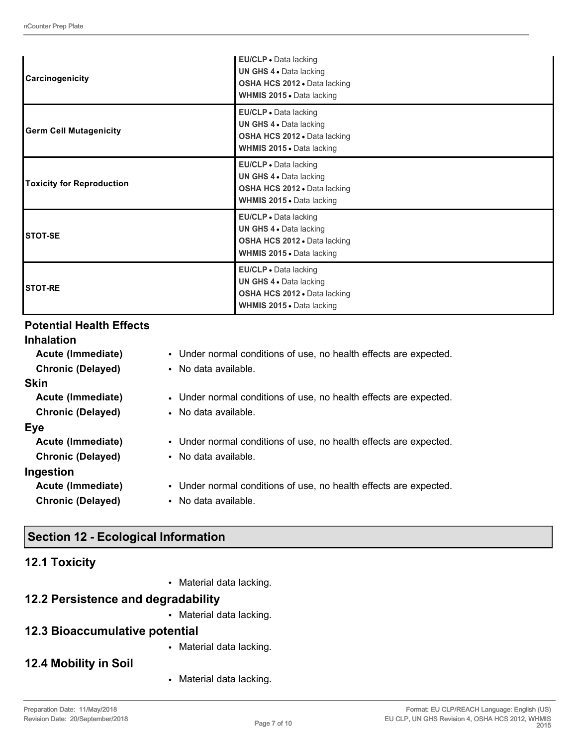| Carcinogenicity                  | EU/CLP • Data lacking<br>UN GHS 4 . Data lacking<br>OSHA HCS 2012 . Data lacking<br>WHMIS 2015 . Data lacking               |
|----------------------------------|-----------------------------------------------------------------------------------------------------------------------------|
| Germ Cell Mutagenicity           | EU/CLP . Data lacking<br>UN GHS 4 . Data lacking<br>OSHA HCS 2012 . Data lacking<br>WHMIS 2015 . Data lacking               |
| <b>Toxicity for Reproduction</b> | EU/CLP · Data lacking<br>UN GHS 4 . Data lacking<br><b>OSHA HCS 2012 - Data lacking</b><br><b>WHMIS 2015 .</b> Data lacking |
| <b>STOT-SE</b>                   | EU/CLP • Data lacking<br>UN GHS 4 . Data lacking<br>OSHA HCS 2012 . Data lacking<br>WHMIS 2015 . Data lacking               |
| <b>STOT-RE</b>                   | EU/CLP . Data lacking<br>UN GHS 4 . Data lacking<br>OSHA HCS 2012 · Data lacking<br>WHMIS 2015 . Data lacking               |

## **Potential Health Effects**

| <b>Inhalation</b>        |                                                                   |
|--------------------------|-------------------------------------------------------------------|
| Acute (Immediate)        | • Under normal conditions of use, no health effects are expected. |
| <b>Chronic (Delayed)</b> | • No data available.                                              |
| <b>Skin</b>              |                                                                   |
| Acute (Immediate)        | • Under normal conditions of use, no health effects are expected. |
| <b>Chronic (Delayed)</b> | • No data available.                                              |
| <b>Eye</b>               |                                                                   |
| Acute (Immediate)        | • Under normal conditions of use, no health effects are expected. |
| <b>Chronic (Delayed)</b> | • No data available.                                              |
| Ingestion                |                                                                   |
| Acute (Immediate)        | • Under normal conditions of use, no health effects are expected. |
| <b>Chronic (Delayed)</b> | • No data available.                                              |

## **Section 12 - Ecological Information**

|  | <b>12.1 Toxicity</b> |  |
|--|----------------------|--|
|--|----------------------|--|

• Material data lacking.

## **12.2 Persistence and degradability**

• Material data lacking.

## **12.3 Bioaccumulative potential**

• Material data lacking.

## **12.4 Mobility in Soil**

• Material data lacking.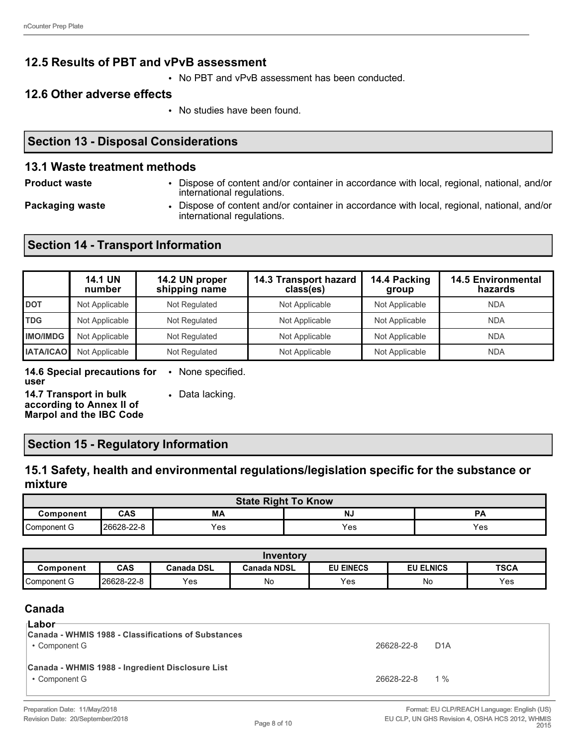## **12.5 Results of PBT and vPvB assessment**

• No PBT and vPvB assessment has been conducted.

#### **12.6 Other adverse effects**

• No studies have been found.

## **Section 13 - Disposal Considerations**

#### **13.1 Waste treatment methods**

- 
- **Product waste** Dispose of content and/or container in accordance with local, regional, national, and/or international regulations.
- 
- **Packaging waste Dispose of content and/or container in accordance with local, regional, national, and/or** international regulations.

## **Section 14 - Transport Information**

|                  | <b>14.1 UN</b><br>number | 14.2 UN proper<br>shipping name | 14.3 Transport hazard<br>class(es) | 14.4 Packing<br>group | <b>14.5 Environmental</b><br>hazards |
|------------------|--------------------------|---------------------------------|------------------------------------|-----------------------|--------------------------------------|
| <b>DOT</b>       | Not Applicable           | Not Regulated                   | Not Applicable                     | Not Applicable        | <b>NDA</b>                           |
| <b>TDG</b>       | Not Applicable           | Not Regulated                   | Not Applicable                     | Not Applicable        | <b>NDA</b>                           |
| <b>IMO/IMDG</b>  | Not Applicable           | Not Regulated                   | Not Applicable                     | Not Applicable        | <b>NDA</b>                           |
| <b>IATA/ICAO</b> | Not Applicable           | Not Regulated                   | Not Applicable                     | Not Applicable        | <b>NDA</b>                           |

#### **14.6 Special precautions for user** • None specified.

**14.7 Transport in bulk according to Annex II of Marpol and the IBC Code** • Data lacking.

## **Section 15 - Regulatory Information**

## **15.1 Safety, health and environmental regulations/legislation specific for the substance or mixture**

| <b>State Right To Know</b>   |            |     |     |     |  |
|------------------------------|------------|-----|-----|-----|--|
| CAS<br>NJ<br>Component<br>МA |            |     |     |     |  |
| Component G                  | 26628-22-8 | Yes | Yes | Yes |  |

| Inventorv   |            |                   |                    |                  |                  |             |
|-------------|------------|-------------------|--------------------|------------------|------------------|-------------|
| Component   | CAS        | <b>Canada DSL</b> | <b>Canada NDSL</b> | <b>EU EINECS</b> | <b>EU ELNICS</b> | <b>TSCA</b> |
| Component G | 26628-22-8 | Yes               | No                 | Yes              | No               | Yes         |

## **Canada**

| ⊺Labor<br>Canada - WHMIS 1988 - Classifications of Substances<br>• Component G | 26628-22-8     | D <sub>1</sub> A |
|--------------------------------------------------------------------------------|----------------|------------------|
| Canada - WHMIS 1988 - Ingredient Disclosure List<br>• Component G              | 26628-22-8 1 % |                  |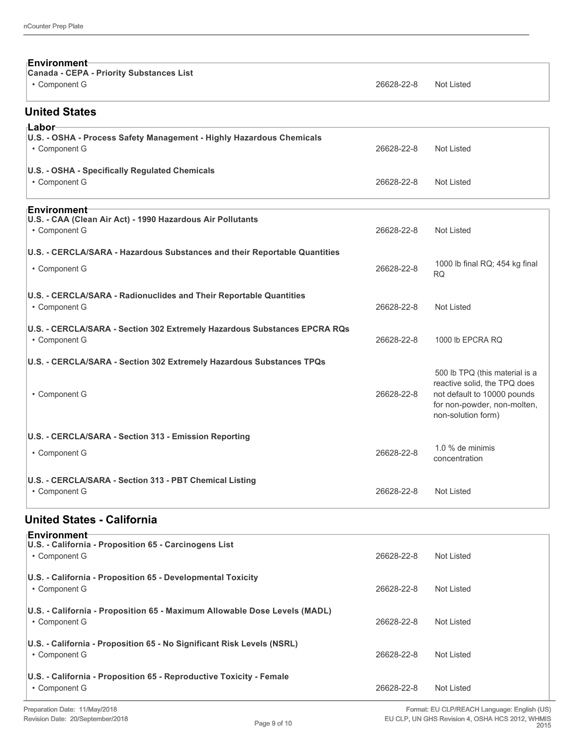| ⊦Environment                                                              |            |                                                   |
|---------------------------------------------------------------------------|------------|---------------------------------------------------|
| <b>Canada - CEPA - Priority Substances List</b>                           |            |                                                   |
| • Component G                                                             | 26628-22-8 | <b>Not Listed</b>                                 |
| <b>United States</b>                                                      |            |                                                   |
| ⊦Labor                                                                    |            |                                                   |
| U.S. - OSHA - Process Safety Management - Highly Hazardous Chemicals      |            |                                                   |
| • Component G                                                             | 26628-22-8 | <b>Not Listed</b>                                 |
| <b>U.S. - OSHA - Specifically Regulated Chemicals</b>                     |            |                                                   |
| • Component G                                                             | 26628-22-8 | Not Listed                                        |
| <b>⊧Environment</b>                                                       |            |                                                   |
| U.S. - CAA (Clean Air Act) - 1990 Hazardous Air Pollutants                |            |                                                   |
| • Component G                                                             | 26628-22-8 | Not Listed                                        |
| U.S. - CERCLA/SARA - Hazardous Substances and their Reportable Quantities |            |                                                   |
| • Component G                                                             | 26628-22-8 | 1000 lb final RQ; 454 kg final<br><b>RQ</b>       |
| U.S. - CERCLA/SARA - Radionuclides and Their Reportable Quantities        |            |                                                   |
| • Component G                                                             | 26628-22-8 | Not Listed                                        |
| U.S. - CERCLA/SARA - Section 302 Extremely Hazardous Substances EPCRA RQs |            |                                                   |
| • Component G                                                             | 26628-22-8 | 1000 lb EPCRA RQ                                  |
| U.S. - CERCLA/SARA - Section 302 Extremely Hazardous Substances TPQs      |            |                                                   |
|                                                                           |            | 500 lb TPQ (this material is a                    |
|                                                                           |            | reactive solid, the TPQ does                      |
| • Component G                                                             | 26628-22-8 | not default to 10000 pounds                       |
|                                                                           |            | for non-powder, non-molten,<br>non-solution form) |
|                                                                           |            |                                                   |
| U.S. - CERCLA/SARA - Section 313 - Emission Reporting                     |            |                                                   |
| • Component G                                                             | 26628-22-8 | 1.0 % de minimis<br>concentration                 |
|                                                                           |            |                                                   |
| U.S. - CERCLA/SARA - Section 313 - PBT Chemical Listing                   |            |                                                   |
| • Component G                                                             | 26628-22-8 | <b>Not Listed</b>                                 |
|                                                                           |            |                                                   |

## **United States - California**

| <b>Environment</b><br>U.S. - California - Proposition 65 - Carcinogens List |            |            |
|-----------------------------------------------------------------------------|------------|------------|
| • Component G                                                               | 26628-22-8 | Not Listed |
| U.S. - California - Proposition 65 - Developmental Toxicity                 |            |            |
| • Component G                                                               | 26628-22-8 | Not Listed |
| U.S. - California - Proposition 65 - Maximum Allowable Dose Levels (MADL)   |            |            |
| • Component G                                                               | 26628-22-8 | Not Listed |
| U.S. - California - Proposition 65 - No Significant Risk Levels (NSRL)      |            |            |
| • Component G                                                               | 26628-22-8 | Not Listed |
| U.S. - California - Proposition 65 - Reproductive Toxicity - Female         |            |            |
| • Component G                                                               | 26628-22-8 | Not Listed |